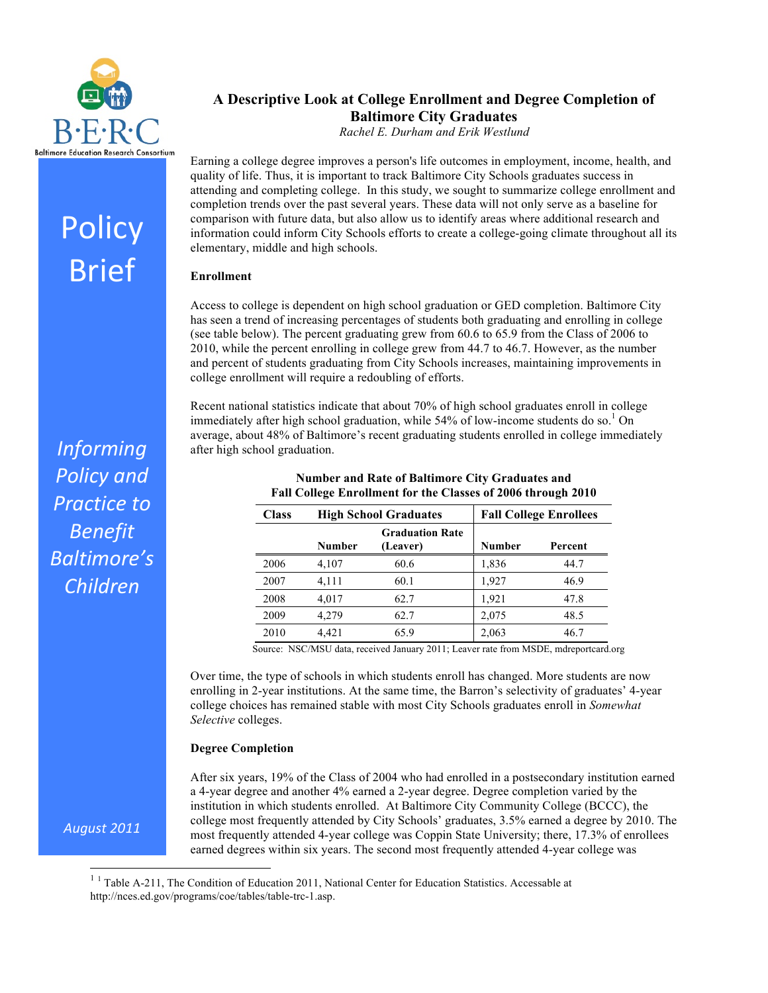

Policy

Brief

# **A Descriptive Look at College Enrollment and Degree Completion of Baltimore City Graduates**

*Rachel E. Durham and Erik Westlund*

Earning a college degree improves a person's life outcomes in employment, income, health, and quality of life. Thus, it is important to track Baltimore City Schools graduates success in attending and completing college. In this study, we sought to summarize college enrollment and completion trends over the past several years. These data will not only serve as a baseline for comparison with future data, but also allow us to identify areas where additional research and information could inform City Schools efforts to create a college-going climate throughout all its elementary, middle and high schools.

# **Enrollment**

Access to college is dependent on high school graduation or GED completion. Baltimore City has seen a trend of increasing percentages of students both graduating and enrolling in college (see table below). The percent graduating grew from 60.6 to 65.9 from the Class of 2006 to 2010, while the percent enrolling in college grew from 44.7 to 46.7. However, as the number and percent of students graduating from City Schools increases, maintaining improvements in college enrollment will require a redoubling of efforts.

Recent national statistics indicate that about 70% of high school graduates enroll in college immediately after high school graduation, while 54% of low-income students do so.<sup>1</sup> On average, about 48% of Baltimore's recent graduating students enrolled in college immediately after high school graduation.

| <b>Class</b> | <b>High School Graduates</b> |                                    | <b>Fall College Enrollees</b> |         |
|--------------|------------------------------|------------------------------------|-------------------------------|---------|
|              | Number                       | <b>Graduation Rate</b><br>(Leaver) | Number                        | Percent |
| 2006         | 4,107                        | 60.6                               | 1,836                         | 44.7    |
| 2007         | 4,111                        | 60.1                               | 1,927                         | 46.9    |
| 2008         | 4,017                        | 62.7                               | 1,921                         | 47.8    |
| 2009         | 4.279                        | 62.7                               | 2,075                         | 48.5    |
| 2010         | 4,421                        | 65.9                               | 2,063                         | 46.7    |

## **Number and Rate of Baltimore City Graduates and Fall College Enrollment for the Classes of 2006 through 2010**

Source: NSC/MSU data, received January 2011; Leaver rate from MSDE, mdreportcard.org

Over time, the type of schools in which students enroll has changed. More students are now enrolling in 2-year institutions. At the same time, the Barron's selectivity of graduates' 4-year college choices has remained stable with most City Schools graduates enroll in *Somewhat Selective* colleges.

## **Degree Completion**

After six years, 19% of the Class of 2004 who had enrolled in a postsecondary institution earned a 4-year degree and another 4% earned a 2-year degree. Degree completion varied by the institution in which students enrolled. At Baltimore City Community College (BCCC), the college most frequently attended by City Schools' graduates, 3.5% earned a degree by 2010. The most frequently attended 4-year college was Coppin State University; there, 17.3% of enrollees earned degrees within six years. The second most frequently attended 4-year college was

<sup>1</sup> <sup>1</sup> Table A-211, The Condition of Education 2011, National Center for Education Statistics. Accessable at http://nces.ed.gov/programs/coe/tables/table-trc-1.asp.

*Informing! Policy!and!* **Practice to** *Benefit! Baltimore's! Children*

*August 2011*